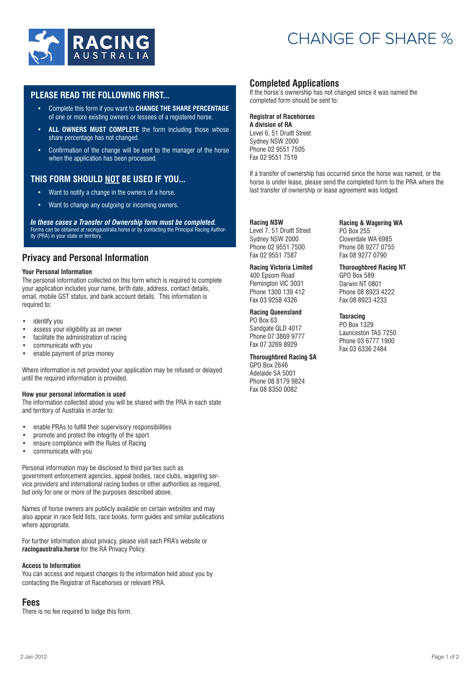

# CHANGE OF SHARE %

## **PLEASE READ THE FOLLOWING FIRST...**

- Complete this form if you want to **CHANGE THE SHARE PERCENTAGE**  of one or more existing owners or lessees of a registered horse.
- **ALL OWNERS MUST COMPLETE** the form including those whose share percentage has not changed.
- Confirmation of the change will be sent to the manager of the horse when the application has been processed.

# **THIS FORM SHOULD NOT BE USED IF YOU...**

- Want to notify a change in the owners of a horse.
- Want to change any outgoing or incoming owners.

*In these cases a Transfer of Ownership form must be completed.*  Forms can be obtained at racingaustralia.horse or by contacting the Principal Racing Authority (PRA) in your state or territory.

# **Privacy and Personal Information**

#### **Your Personal Information**

The personal information collected on this form which is required to complete your application includes your name, birth date, address, contact details, email, mobile GST status, and bank account details. This information is required to:

- identify you
- assess your eligibility as an owner<br>• facilitate the administration of racing
- facilitate the administration of racing
- communicate with you
- enable payment of prize money

Where information is not provided your application may be refused or delayed until the required information is provided.

#### **How your personal information is used**

The information collected about you will be shared with the PRA in each state and territory of Australia in order to:

- enable PRAs to fulfill their supervisory responsibilities
- promote and protect the integrity of the sport
- ensure compliance with the Rules of Racing<br>• communicate with you
- communicate with you

Personal information may be disclosed to third parties such as government enforcement agencies, appeal bodies, race clubs, wagering service providers and international racing bodies or other authorities as required, but only for one or more of the purposes described above.

Names of horse owners are publicly available on certain websites and may also appear in race field lists, race books, form guides and similar publications where appropriate.

For further information about privacy, please visit each PRA's website or **racingaustralia.horse** for the RA Privacy Policy.

#### **Access to Information**

You can access and request changes to the information held about you by contacting the Registrar of Racehorses or relevant PRA.

## **Fees**

There is no fee required to lodge this form.

## **Completed Applications**

If the horse's ownership has not changed since it was named the completed form should be sent to:

#### **Registrar of Racehorses**

**A division of RA** Level 6, 51 Druitt Street Sydney NSW 2000 Phone 02 9551 7505 Fax 02 9551 7519

If a transfer of ownership has occurred since the horse was named, or the horse is under lease, please send the completed form to the PRA where the last transfer of ownership or lease agreement was lodged.

#### **Racing NSW**

Level 7, 51 Druitt Street Sydney NSW 2000 Phone 02 9551 7500 Fax 02 9551 7587

## **Racing Victoria Limited**

400 Epsom Road Flemington VIC 3031 Phone 1300 139 412 Fax 03 9258 4326

# **Racing Queensland**

PO Box 63 Sandgate QLD 4017 Phone 07 3869 9777 Fax 07 3269 8929

### **Thoroughbred Racing SA**

GPO Box 2646 Adelaide SA 5001 Phone 08 8179 9824 Fax 08 8350 0082

#### **Racing & Wagering WA**  PO Box 255 Cloverdale WA 6985 Phone 08 9277 0755

Fax 08 9277 0790 **Thoroughbred Racing NT**  GPO Box 589 Darwin NT 0801

Phone 08 8923 4222 Fax 08 8923 4233

#### **Tasracing**

PO Box 1329 Launceston TAS 7250 Phone 03 6777 1900 Fax 03 6336 2484